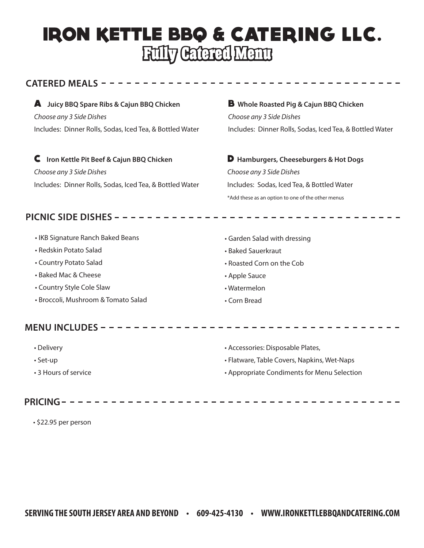# **IRON KETTLE BBQ & CATERING LLC.** Fully Catered Menu

#### CATERED MEALS - - - -

## A **Juicy BBQ Spare Ribs & Cajun BBQ Chicken** *Choose any 3 Side Dishes*

Includes: Dinner Rolls, Sodas, Iced Tea, & Bottled Water

C **Iron Kettle Pit Beef & Cajun BBQ Chicken** *Choose any 3 Side Dishes* Includes: Dinner Rolls, Sodas, Iced Tea, & Bottled Water B **Whole Roasted Pig & Cajun BBQ Chicken** *Choose any 3 Side Dishes* Includes: Dinner Rolls, Sodas, Iced Tea, & Bottled Water

D **Hamburgers, Cheeseburgers & Hot Dogs** *Choose any 3 Side Dishes* Includes: Sodas, Iced Tea, & Bottled Water \*Add these as an option to one of the other menus

### PICNIC SIDE DISHES - - - - - -

- IKB Signature Ranch Baked Beans
- Redskin Potato Salad
- Country Potato Salad
- Baked Mac & Cheese
- Country Style Cole Slaw
- Broccoli, Mushroom & Tomato Salad

### MENU INCLUDES - - - - - - - - - - - - - - -

- Delivery
- Set-up
- 3 Hours of service

### **PRICING**

• \$22.95 per person

- Garden Salad with dressing
- Baked Sauerkraut
- Roasted Corn on the Cob
- Apple Sauce
- Watermelon
- Corn Bread

• Accessories: Disposable Plates,

- Flatware, Table Covers, Napkins, Wet-Naps
- Appropriate Condiments for Menu Selection

- - - - - - - - - - - - - -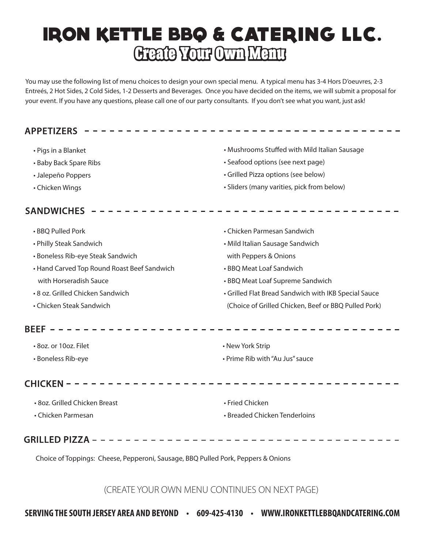# **IRON KETTLE BBQ & CATERING LLC.** Create Your Own Menu

You may use the following list of menu choices to design your own special menu. A typical menu has 3-4 Hors D'oeuvres, 2-3 Entreés, 2 Hot Sides, 2 Cold Sides, 1-2 Desserts and Beverages. Once you have decided on the items, we will submit a proposal for your event. If you have any questions, please call one of our party consultants. If you don't see what you want, just ask!

#### • Mushrooms Stuffed with Mild Italian Sausage • Pigs in a Blanket • Baby Back Spare Ribs • Seafood options (see next page) • Grilled Pizza options (see below) • Jalepeño Poppers • Sliders (many varities, pick from below) • Chicken Wings SANDWICHES -----------------------------------• BBQ Pulled Pork • Chicken Parmesan Sandwich • Philly Steak Sandwich • Mild Italian Sausage Sandwich • Boneless Rib-eye Steak Sandwich with Peppers & Onions • Hand Carved Top Round Roast Beef Sandwich • BBQ Meat Loaf Sandwich with Horseradish Sauce • BBQ Meat Loaf Supreme Sandwich • 8 oz. Grilled Chicken Sandwich • Grilled Flat Bread Sandwich with IKB Special Sauce • Chicken Steak Sandwich (Choice of Grilled Chicken, Beef or BBQ Pulled Pork) • 8oz. or 10oz. Filet • New York Strip • Prime Rib with "Au Jus" sauce • Boneless Rib-eye  $CHICKEN - - -$ - - - - - - - - - - **-**• 8oz. Grilled Chicken Breast • Fried Chicken • Breaded Chicken Tenderloins • Chicken Parmesan Choice of Toppings: Cheese, Pepperoni, Sausage, BBQ Pulled Pork, Peppers & Onions

(CREATE YOUR OWN MENU CONTINUES ON NEXT PAGE)

**SERVING THE SOUTH JERSEY AREA AND BEYOND • 609-425-4130 • WWW.IRONKETTLEBBQANDCATERING.COM**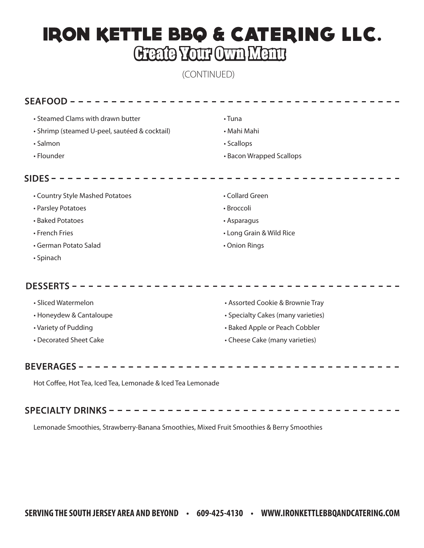## **IRON KETTLE BBQ & CATERING LLC.** Create Your Own Menu

(CONTINUED)

| • Steamed Clams with drawn butter             | • Tuna                             |
|-----------------------------------------------|------------------------------------|
| • Shrimp (steamed U-peel, sautéed & cocktail) | • Mahi Mahi                        |
| · Salmon                                      | • Scallops                         |
| • Flounder                                    | • Bacon Wrapped Scallops           |
| $SIDES -$                                     |                                    |
| • Country Style Mashed Potatoes               | • Collard Green                    |
| • Parsley Potatoes                            | • Broccoli                         |
| • Baked Potatoes                              | • Asparagus                        |
| • French Fries                                | • Long Grain & Wild Rice           |
| • German Potato Salad                         | • Onion Rings                      |
| • Spinach                                     |                                    |
| <b>DESSERTS -</b>                             |                                    |
| • Sliced Watermelon                           | • Assorted Cookie & Brownie Tray   |
| • Honeydew & Cantaloupe                       | • Specialty Cakes (many varieties) |
| • Variety of Pudding                          | • Baked Apple or Peach Cobbler     |
| • Decorated Sheet Cake                        | • Cheese Cake (many varieties)     |
| <b>BEVERAGES</b>                              |                                    |

Hot Coffee, Hot Tea, Iced Tea, Lemonade & Iced Tea Lemonade

### 

Lemonade Smoothies, Strawberry-Banana Smoothies, Mixed Fruit Smoothies & Berry Smoothies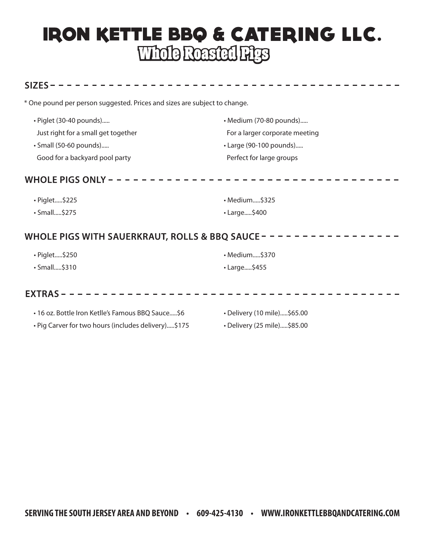## **IRON KETTLE BBQ & CATERING LLC.** Whole Roasted Pigs

#### $SIZES - - - - -$

\* One pound per person suggested. Prices and sizes are subject to change.

| · Piglet (30-40 pounds)             | • Medium (70-80 pounds)        |
|-------------------------------------|--------------------------------|
| Just right for a small get together | For a larger corporate meeting |
| • Small (50-60 pounds)              | • Large (90-100 pounds)        |
| Good for a backyard pool party      | Perfect for large groups       |

#### 

| • Piglet\$225      | · Medium\$325      |
|--------------------|--------------------|
| $\cdot$ Small\$275 | $\cdot$ Large\$400 |

### WHOLE PIGS WITH SAUERKRAUT, ROLLS & BBQ SAUCE - - - - - - - - - - - - - -

| • Piglet\$250 | · Medium\$370      |
|---------------|--------------------|
| • Small\$310  | $\cdot$ Large\$455 |

#### 

| • 16 oz. Bottle Iron Ketlle's Famous BBQ Sauce\$6   | • Delivery (10 mile)\$65.00 |
|-----------------------------------------------------|-----------------------------|
| · Pig Carver for two hours (includes delivery)\$175 | • Delivery (25 mile)\$85.00 |